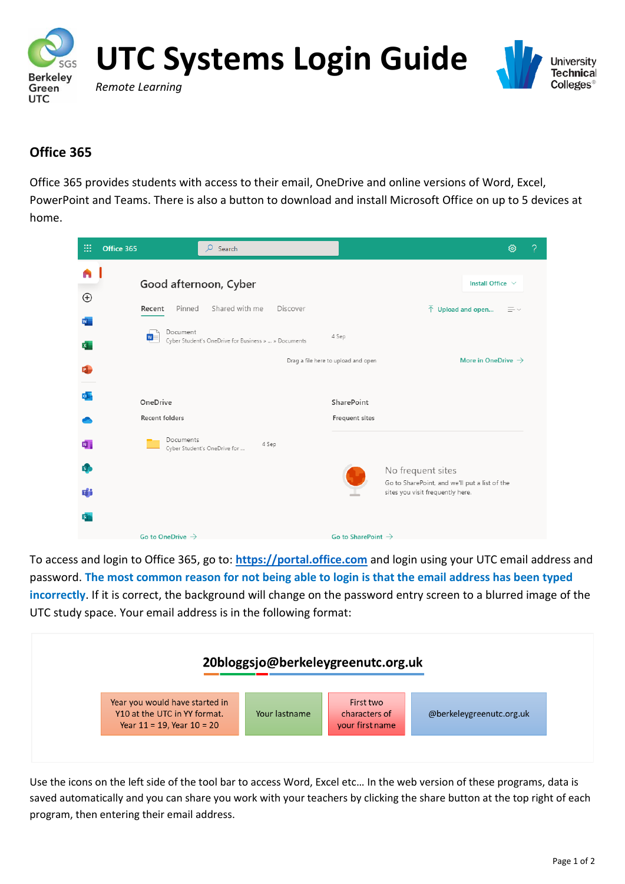



## **Office 365**

Office 365 provides students with access to their email, OneDrive and online versions of Word, Excel, PowerPoint and Teams. There is also a button to download and install Microsoft Office on up to 5 devices at home.

| m                         | Office 365                        | Q<br>Search                                                                                                 |                                                                     |                                                                                                        | සූ                                  | ? |
|---------------------------|-----------------------------------|-------------------------------------------------------------------------------------------------------------|---------------------------------------------------------------------|--------------------------------------------------------------------------------------------------------|-------------------------------------|---|
| n<br>$\oplus$             | Pinned<br>Recent<br>Document<br>W | Good afternoon, Cyber<br>Shared with me<br>Discover<br>Cyber Student's OneDrive for Business »  » Documents | 4 Sep                                                               | $\overline{\uparrow}$ Upload and open                                                                  | Install Office V<br>$\equiv$ $\sim$ |   |
|                           | OneDrive<br>Recent folders        |                                                                                                             | Drag a file here to upload and open<br>SharePoint<br>Frequent sites |                                                                                                        | More in OneDrive $\rightarrow$      |   |
| N<br>$\mathsf{s}$ .<br>n" | Documents                         | 4 Sep<br>Cyber Student's OneDrive for                                                                       |                                                                     | No frequent sites<br>Go to SharePoint, and we'll put a list of the<br>sites you visit frequently here. |                                     |   |
|                           | Go to OneDrive $\rightarrow$      |                                                                                                             | Go to SharePoint $\rightarrow$                                      |                                                                                                        |                                     |   |

To access and login to Office 365, go to: **[https://portal.office.com](https://portal.office.com/)** and login using your UTC email address and password. **The most common reason for not being able to login is that the email address has been typed incorrectly**. If it is correct, the background will change on the password entry screen to a blurred image of the UTC study space. Your email address is in the following format:



Use the icons on the left side of the tool bar to access Word, Excel etc… In the web version of these programs, data is saved automatically and you can share you work with your teachers by clicking the share button at the top right of each program, then entering their email address.